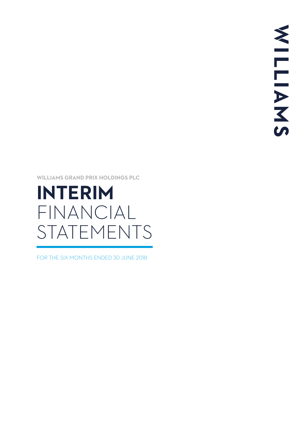**WILLIAMS GRAND PRIX HOLDINGS PLC** 

# **INTERIM** FINANCIAL STATEMENTS

FOR THE SIX MONTHS ENDED 30 JUNE 2018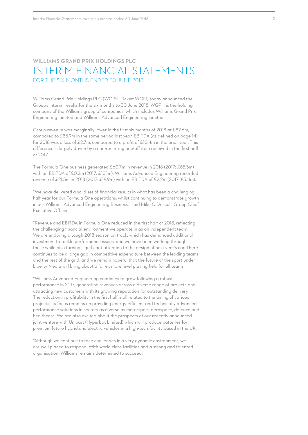# **WILLIAMS GRAND PRIX HOLDINGS PLC** INTERIM FINANCIAL STATEMENTS FOR THE SIX MONTHS ENDED 30 JUNE 2018

Williams Grand Prix Holdings PLC (WGPH, Ticker: WGF1) today announced the Group's interim results for the six months to 30 June 2018. WGPH is the holding company of the Williams group of companies, which includes Williams Grand Prix Engineering Limited and Williams Advanced Engineering Limited.

Group revenue was marginally lower in the first six months of 2018 at £82.6m, compared to £85.9m in the same period last year. EBITDA (as defined on page 14) for 2018 was a loss of £2.7m, compared to a profit of £10.4m in the prior year. This difference is largely driven by a non-recurring one-off item received in the first half of 2017.

The Formula One business generated £60.7m in revenue in 2018 (2017: £65.5m) with an EBITDA of £0.2m (2017: £10.1m). Williams Advanced Engineering recorded revenue of £21.5m in 2018 (2017: £19.9m) with an EBITDA of £2.2m (2017: £3.4m).

"We have delivered a solid set of financial results in what has been a challenging half year for our Formula One operations, whilst continuing to demonstrate growth in our Williams Advanced Engineering Business," said Mike O'Driscoll, Group Chief Executive Officer.

"Revenue and EBITDA in Formula One reduced in the first half of 2018, reflecting the challenging financial environment we operate in as an independent team. We are enduring a tough 2018 season on track, which has demanded additional investment to tackle performance issues, and we have been working through these while also turning significant attention to the design of next year's car. There continues to be a large gap in competitive expenditure between the leading teams and the rest of the grid, and we remain hopeful that the future of the sport under Liberty Media will bring about a fairer, more level playing field for all teams.

"Williams Advanced Engineering continues to grow following a robust performance in 2017, generating revenues across a diverse range of projects and attracting new customers with its growing reputation for outstanding delivery. The reduction in profitability in the first half is all related to the timing of various projects. Its focus remains on providing energy-efficient and technically advanced performance solutions in sectors as diverse as motorsport, aerospace, defence and healthcare. We are also excited about the prospects of our recently announced joint venture with Unipart (Hyperbat Limited) which will produce batteries for premium future hybrid and electric vehicles in a high-tech facility based in the UK.

"Although we continue to face challenges in a very dynamic environment, we are well placed to respond. With world class facilities and a strong and talented organisation, Williams remains determined to succeed."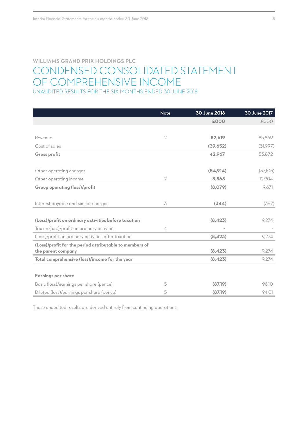# **WILLIAMS GRAND PRIX HOLDINGS PLC** CONDENSED CONSOLIDATED STATEMENT OF COMPREHENSIVE INCOME UNAUDITED RESULTS FOR THE SIX MONTHS ENDED 30 JUNE 2018

|                                                         | <b>Note</b>              | 30 June 2018 | 30 June 2017 |
|---------------------------------------------------------|--------------------------|--------------|--------------|
|                                                         |                          | £000         | £000         |
|                                                         |                          |              |              |
| Revenue                                                 | $\overline{2}$           | 82.619       | 85,869       |
| Cost of sales                                           |                          | (39,652)     | (31,997)     |
| Gross profit                                            |                          | 42.967       | 53,872       |
|                                                         |                          |              |              |
| Other operating charges                                 |                          | (54, 914)    | (57,105)     |
| Other operating income                                  | $\overline{2}$           | 3,868        | 12,904       |
| <b>Group operating (loss)/profit</b>                    |                          | (8,079)      | 9,671        |
|                                                         |                          |              |              |
| Interest payable and similar charges                    | 3                        | (344)        | (397)        |
|                                                         |                          |              |              |
| (Loss)/profit on ordinary activities before taxation    |                          | (8,423)      | 9,274        |
| Tax on (loss)/profit on ordinary activities             | $\overline{\mathcal{A}}$ | i.           |              |
| (Loss)/profit on ordinary activities after taxation     |                          | (8, 423)     | 9,274        |
| (Loss)/profit for the period attributable to members of |                          |              |              |
| the parent company                                      |                          | (8, 423)     | 9,274        |
| Total comprehensive (loss)/income for the year          |                          | (8, 423)     | 9,274        |
|                                                         |                          |              |              |
| <b>Earnings per share</b>                               |                          |              |              |
| Basic (loss)/earnings per share (pence)                 | 5                        | (87.19)      | 96.10        |
| Diluted (loss)/earnings per share (pence)               | 5                        | (87.19)      | 94.01        |

These unaudited results are derived entirely from continuing operations.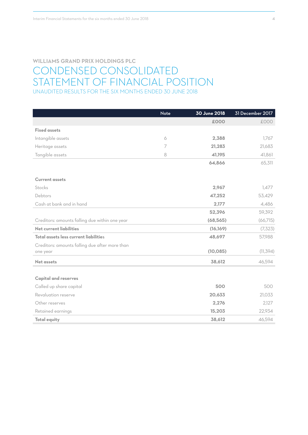# **WILLIAMS GRAND PRIX HOLDINGS PLC** CONDENSED CONSOLIDATED STATEMENT OF FINANCIAL POSITION UNAUDITED RESULTS FOR THE SIX MONTHS ENDED 30 JUNE 2018

|                                                | Note | 30 June 2018 | 31 December 2017 |
|------------------------------------------------|------|--------------|------------------|
|                                                |      | £000         | £000             |
| <b>Fixed assets</b>                            |      |              |                  |
| Intangible assets                              | 6    | 2,388        | 1,767            |
| Heritage assets                                | 7    | 21,283       | 21,683           |
| Tangible assets                                | 8    | 41,195       | 41,861           |
|                                                |      | 64,866       | 65,311           |
|                                                |      |              |                  |
| <b>Current assets</b>                          |      |              |                  |
| Stocks                                         |      | 2,967        | 1,477            |
| Debtors                                        |      | 47,252       | 53,429           |
| Cash at bank and in hand                       |      | 2,177        | 4,486            |
|                                                |      | 52,396       | 59,392           |
| Creditors: amounts falling due within one year |      | (68, 565)    | (66,715)         |
| Net current liabilities                        |      | (16, 169)    | (7, 323)         |
| Total assets less current liabilities          |      | 48,697       | 57,988           |
| Creditors: amounts falling due after more than |      |              |                  |
| one year                                       |      | (10, 085)    | (11, 394)        |
| <b>Net assets</b>                              |      | 38,612       | 46,594           |
|                                                |      |              |                  |
| <b>Capital and reserves</b>                    |      |              |                  |
| Called up share capital                        |      | 500          | 500              |
| Revaluation reserve                            |      | 20,633       | 21,033           |
| Other reserves                                 |      | 2,276        | 2,127            |
| Retained earnings                              |      | 15,203       | 22,934           |
| <b>Total equity</b>                            |      | 38,612       | 46,594           |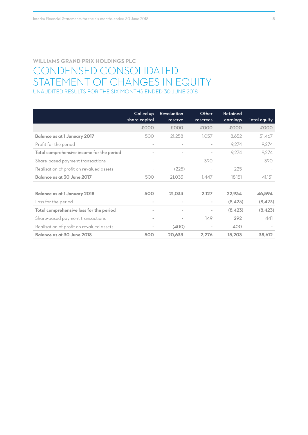# **WILLIAMS GRAND PRIX HOLDINGS PLC** CONDENSED CONSOLIDATED STATEMENT OF CHANGES IN EQUITY UNAUDITED RESULTS FOR THE SIX MONTHS ENDED 30 JUNE 2018

|                                           | Called up<br>share capital | Revaluation<br>reserve   | Other<br>reserves        | Retained<br>earnings | Total equity |
|-------------------------------------------|----------------------------|--------------------------|--------------------------|----------------------|--------------|
|                                           | £000                       | £000                     | £000                     | £000                 | £000         |
| <b>Balance as at 1 January 2017</b>       | 500                        | 21,258                   | 1,057                    | 8,652                | 31,467       |
| Profit for the period                     | $\overline{\phantom{a}}$   | $\overline{\phantom{a}}$ |                          | 9.274                | 9,274        |
| Total comprehensive income for the period |                            |                          |                          | 9.274                | 9,274        |
| Share-based payment transactions          | $\overline{\phantom{a}}$   |                          | 390                      |                      | 390          |
| Realisation of profit on revalued assets  |                            | (225)                    |                          | 225                  |              |
| Balance as at 30 June 2017                | 500                        | 21,033                   | 1.447                    | 18,151               | 41,131       |
|                                           |                            |                          |                          |                      |              |
| <b>Balance as at 1 January 2018</b>       | 500                        | 21,033                   | 2,127                    | 22,934               | 46,594       |
| Loss for the period                       | $\bar{ }$                  | $\overline{\phantom{a}}$ | $\sim$                   | (8,423)              | (8,423)      |
| Total comprehensive loss for the period   | $\overline{\phantom{a}}$   | $\overline{\phantom{0}}$ | $\overline{\phantom{a}}$ | (8, 423)             | (8, 423)     |
| Share-based payment transactions          |                            | $\overline{\phantom{a}}$ | 149                      | 292                  | 441          |
| Realisation of profit on revalued assets  |                            | (400)                    | $\sim$                   | 400                  |              |
| Balance as at 30 June 2018                | 500                        | 20,633                   | 2,276                    | 15,203               | 38,612       |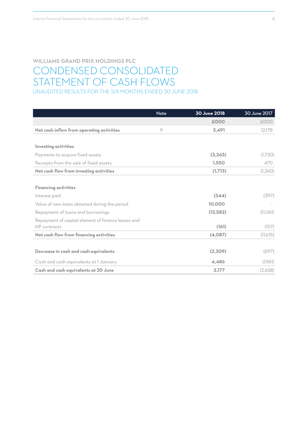# **WILLIAMS GRAND PRIX HOLDINGS PLC** CONDENSED CONSOLIDATED STATEMENT OF CASH FLOWS UNAUDITED RESULTS FOR THE SIX MONTHS ENDED 30 JUNE 2018

|                                                    | <b>Note</b> | 30 June 2018 | 30 June 2017 |
|----------------------------------------------------|-------------|--------------|--------------|
|                                                    |             | £000         | £000         |
| Net cash inflow from operating activities          | 9           | 3,491        | 12,178       |
|                                                    |             |              |              |
| <b>Investing activities</b>                        |             |              |              |
| Payments to acquire fixed assets                   |             | (3,263)      | (1,730)      |
| Receipts from the sale of fixed assets             |             | 1,550        | 470          |
| Net cash flow from investing activities            |             | (1,713)      | (1,260)      |
|                                                    |             |              |              |
| <b>Financing activities</b>                        |             |              |              |
| Interest paid                                      |             | (344)        | (397)        |
| Value of new loans obtained during the period      |             | 10.000       |              |
| Repayment of loans and borrowings                  |             | (13, 582)    | (11,061)     |
| Repayment of capital element of finance leases and |             |              |              |
| HP contracts                                       |             | (161)        | (157)        |
| Net cash flow from financing activities            |             | (4,087)      | (11,615)     |
|                                                    |             |              |              |
| Decrease in cash and cash equivalents              |             | (2,309)      | (697)        |
| Cash and cash equivalents at 1 January             |             | 4.486        | (1,961)      |
| Cash and cash equivalents at 30 June               |             | 2,177        | (2,658)      |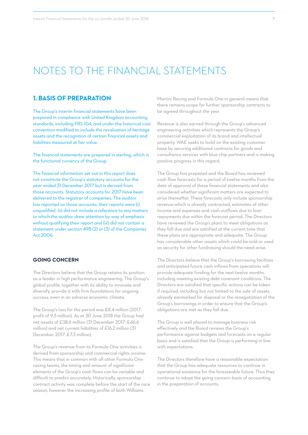# NOTES TO THE FINANCIAL STATEMENTS

#### **1. BASIS OF PREPARATION**

The Group's interim financial statements have been prepared in compliance with United Kingdom accounting standards, including FRS 104, and under the historical cost convention modified to include the revaluation of heritage assets and the recognition of certain financial assets and liabilities measured at fair value.

The financial statements are prepared in sterling, which is the functional currency of the Group.

The financial information set out in this report does not constitute the Group's statutory accounts for the year ended 31 December 2017 but is derived from those accounts. Statutory accounts for 2017 have been delivered to the registrar of companies. The auditor has reported on those accounts; their reports were (i) unqualified, (ii) did not include a reference to any matters to which the auditor drew attention by way of emphasis without qualifying their report and (iii) did not contain a statement under section 498 (2) or (3) of the Companies Act 2006.

#### **GOING CONCERN**

The Directors believe that the Group retains its position as a leader in high performance engineering. The Group's global profile, together with its ability to innovate and diversify, provide it with firm foundations for ongoing success, even in an adverse economic climate.

The Group's loss for the period was £8.4 million (2017: profit of 9.3 million). As at 30 June 2018 the Group had net assets of £38.6 million (31 December 2017: £46.6 million) and net current liabilities of £16.2 million (31 December 2017: £7.3 million).

The Group's revenue from its Formula One activities is derived from sponsorship and commercial rights income. This means that in common with all other Formula One racing teams, the timing and amount of significant elements of the Group's cash flows can be variable and difficult to predict accurately. Historically, sponsorship contract activity was complete before the start of the race season, however the increasing profile of both Williams

Martini Racing and Formula One in general means that there remains scope for further sponsorship contracts to be agreed throughout the year.

Revenue is also earned through the Group's advanced engineering activities which represents the Group's commercial exploitation of its brand and intellectual property. WAE seeks to build on the existing customer base by securing additional contracts for goods and consultancy services with blue chip partners and is making positive progress in this regard.

The Group has prepared and the Board has reviewed cash flow forecasts for a period of twelve months from the date of approval of these financial statements and also considered whether significant matters are expected to arise thereafter. These forecasts only include sponsorship revenue which is already contracted, estimates of other income and expenses and cash outflows due to loan repayments due within the forecast period. The Directors have reviewed the Group's plans to meet obligations as they fall due and are satisfied at the current time that these plans are appropriate and adequate. The Group has considerable other assets which could be sold or used as security for other fundraising should the need arise.

The Directors believe that the Group's borrowing facilities and anticipated future cash inflows from operations will provide adequate funding for the next twelve months, including meeting existing debt covenant conditions. The Directors are satisfied that specific actions can be taken if required, including but not limited to the sale of assets already earmarked for disposal or the renegotiation of the Group's borrowings in order to ensure that the Group's obligations are met as they fall due.

The Group is well placed to manage business risk effectively and the Board reviews the Group's performance against budgets and forecasts on a regular basis and is satisfied that the Group is performing in line with expectations.

The Directors therefore have a reasonable expectation that the Group has adequate resources to continue in operational existence for the foreseeable future. Thus they continue to adopt the going concern basis of accounting in the preparation of accounts.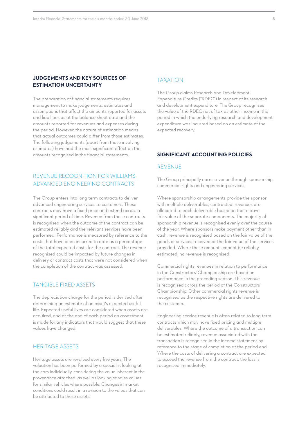#### **JUDGEMENTS AND KEY SOURCES OF ESTIMATION UNCERTAINTY**

The preparation of financial statements requires management to make judgements, estimates and assumptions that affect the amounts reported for assets and liabilities as at the balance sheet date and the amounts reported for revenues and expenses during the period. However, the nature of estimation means that actual outcomes could differ from those estimates. The following judgements (apart from those involving estimates) have had the most significant effect on the amounts recognised in the financial statements.

#### REVENUE RECOGNITION FOR WILLIAMS ADVANCED ENGINEERING CONTRACTS

The Group enters into long term contracts to deliver advanced engineering services to customers. These contracts may have a fixed price and extend across a significant period of time. Revenue from these contracts is recognised when the outcome of the contract can be estimated reliably and the relevant services have been performed. Performance is measured by reference to the costs that have been incurred to date as a percentage of the total expected costs for the contract. The revenue recognised could be impacted by future changes in delivery or contract costs that were not considered when the completion of the contract was assessed.

#### TANGIBLE FIXED ASSETS

The depreciation charge for the period is derived after determining an estimate of an asset's expected useful life. Expected useful lives are considered when assets are acquired, and at the end of each period an assessment is made for any indicators that would suggest that these values have changed.

#### HERITAGE ASSETS

Heritage assets are revalued every five years. The valuation has been performed by a specialist looking at the cars individually, considering the value inherent in the provenance attached, as well as looking at sales values for similar vehicles where possible. Changes in market conditions could result in a revision to the values that can be attributed to these assets.

#### TAXATION

The Group claims Research and Development Expenditure Credits ("RDEC") in respect of its research and development expenditure. The Group recognises the value of the RDEC net of tax as other income in the period in which the underlying research and development expenditure was incurred based on an estimate of the expected recovery.

#### **SIGNIFICANT ACCOUNTING POLICIES**

#### REVENUE

The Group principally earns revenue through sponsorship, commercial rights and engineering services.

Where sponsorship arrangements provide the sponsor with multiple deliverables, contractual revenues are allocated to each deliverable based on the relative fair value of the separate components. The majority of sponsorship revenue is recognised evenly over the course of the year. Where sponsors make payment other than in cash, revenue is recognised based on the fair value of the goods or services received or the fair value of the services provided. Where these amounts cannot be reliably estimated, no revenue is recognised.

Commercial rights revenues in relation to performance in the Constructors' Championship are based on performance in the preceding season. This revenue is recognised across the period of the Constructors' Championship. Other commercial rights revenue is recognised as the respective rights are delivered to the customer.

Engineering service revenue is often related to long term contracts which may have fixed pricing and multiple deliverables. Where the outcome of a transaction can be estimated reliably, revenue associated with the transaction is recognised in the income statement by reference to the stage of completion at the period end. Where the costs of delivering a contract are expected to exceed the revenue from the contract, the loss is recognised immediately.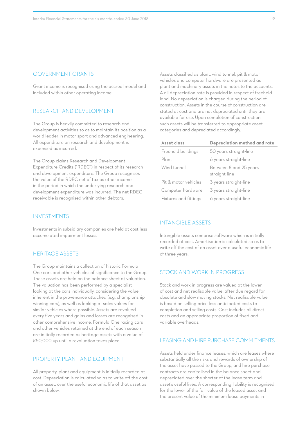#### GOVERNMENT GRANTS

Grant income is recognised using the accrual model and included within other operating income.

#### RESEARCH AND DEVELOPMENT

The Group is heavily committed to research and development activities so as to maintain its position as a world leader in motor sport and advanced engineering. All expenditure on research and development is expensed as incurred.

The Group claims Research and Development Expenditure Credits ("RDEC") in respect of its research and development expenditure. The Group recognises the value of the RDEC net of tax as other income in the period in which the underlying research and development expenditure was incurred. The net RDEC receivable is recognised within other debtors.

#### INVESTMENTS

Investments in subsidiary companies are held at cost less accumulated impairment losses.

#### HERITAGE ASSETS

The Group maintains a collection of historic Formula One cars and other vehicles of significance to the Group. These assets are held on the balance sheet at valuation. The valuation has been performed by a specialist looking at the cars individually, considering the value inherent in the provenance attached (e.g. championship winning cars), as well as looking at sales values for similar vehicles where possible. Assets are revalued every five years and gains and losses are recognised in other comprehensive income. Formula One racing cars and other vehicles retained at the end of each season are initially recorded as heritage assets with a value of £50,000 up until a revaluation takes place.

#### PROPERTY, PLANT AND EQUIPMENT

All property, plant and equipment is initially recorded at cost. Depreciation is calculated so as to write off the cost of an asset, over the useful economic life of that asset as shown below.

Assets classified as plant, wind tunnel, pit & motor vehicles and computer hardware are presented as plant and machinery assets in the notes to the accounts. A nil depreciation rate is provided in respect of freehold land. No depreciation is charged during the period of construction. Assets in the course of construction are stated at cost and are not depreciated until they are available for use. Upon completion of construction, such assets will be transferred to appropriate asset categories and depreciated accordingly.

| Asset class           | Depreciation method and rate            |
|-----------------------|-----------------------------------------|
| Freehold buildings    | 50 years straight-line                  |
| Plant                 | 6 years straight-line                   |
| Wind tunnel           | Between 8 and 25 years<br>straight-line |
| Pit & motor vehicles  | 3 years straight-line                   |
| Computer hardware     | 3 years straight-line                   |
| Fixtures and fittings | 6 years straight-line                   |

#### INTANGIBLE ASSETS

Intangible assets comprise software which is initially recorded at cost. Amortisation is calculated so as to write off the cost of an asset over a useful economic life of three years.

#### STOCK AND WORK IN PROGRESS

Stock and work in progress are valued at the lower of cost and net realisable value, after due regard for obsolete and slow moving stocks. Net realisable value is based on selling price less anticipated costs to completion and selling costs. Cost includes all direct costs and an appropriate proportion of fixed and variable overheads.

#### LEASING AND HIRE PURCHASE COMMITMENTS

Assets held under finance leases, which are leases where substantially all the risks and rewards of ownership of the asset have passed to the Group, and hire purchase contracts are capitalised in the balance sheet and depreciated over the shorter of the lease term and asset's useful lives. A corresponding liability is recognised for the lower of the fair value of the leased asset and the present value of the minimum lease payments in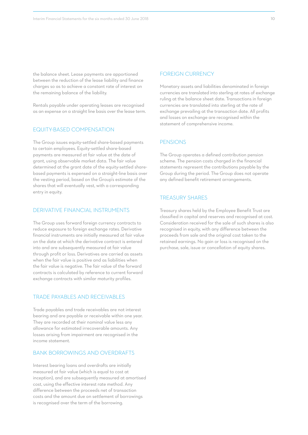the balance sheet. Lease payments are apportioned between the reduction of the lease liability and finance charges so as to achieve a constant rate of interest on the remaining balance of the liability.

Rentals payable under operating leases are recognised as an expense on a straight line basis over the lease term.

#### EQUITY-BASED COMPENSATION

The Group issues equity-settled share-based payments to certain employees. Equity-settled share-based payments are measured at fair value at the date of grant, using observable market data. The fair value determined at the grant date of the equity-settled sharebased payments is expensed on a straight-line basis over the vesting period, based on the Group's estimate of the shares that will eventually vest, with a corresponding entry in equity.

#### DERIVATIVE FINANCIAL INSTRUMENTS

The Group uses forward foreign currency contracts to reduce exposure to foreign exchange rates. Derivative financial instruments are initially measured at fair value on the date at which the derivative contract is entered into and are subsequently measured at fair value through profit or loss. Derivatives are carried as assets when the fair value is positive and as liabilities when the fair value is negative. The fair value of the forward contracts is calculated by reference to current forward exchange contracts with similar maturity profiles.

#### TRADE PAYABLES AND RECEIVABLES

Trade payables and trade receivables are not interest bearing and are payable or receivable within one year. They are recorded at their nominal value less any allowance for estimated irrecoverable amounts. Any losses arising from impairment are recognised in the income statement.

#### BANK BORROWINGS AND OVERDRAFTS

Interest bearing loans and overdrafts are initially measured at fair value (which is equal to cost at inception), and are subsequently measured at amortised cost, using the effective interest rate method. Any difference between the proceeds net of transaction costs and the amount due on settlement of borrowings is recognised over the term of the borrowing.

#### FOREIGN CURRENCY

Monetary assets and liabilities denominated in foreign currencies are translated into sterling at rates of exchange ruling at the balance sheet date. Transactions in foreign currencies are translated into sterling at the rate of exchange prevailing at the transaction date. All profits and losses on exchange are recognised within the statement of comprehensive income.

#### PENSIONS

The Group operates a defined contribution pension scheme. The pension costs charged in the financial statements represent the contributions payable by the Group during the period. The Group does not operate any defined benefit retirement arrangements.

#### TREASURY SHARES

Treasury shares held by the Employee Benefit Trust are classified in capital and reserves and recognised at cost. Consideration received for the sale of such shares is also recognised in equity, with any difference between the proceeds from sale and the original cost taken to the retained earnings. No gain or loss is recognised on the purchase, sale, issue or cancellation of equity shares.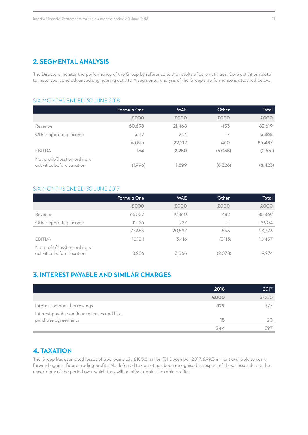### **2. SEGMENTAL ANALYSIS**

The Directors monitor the performance of the Group by reference to the results of core activities. Core activities relate to motorsport and advanced engineering activity. A segmental analysis of the Group's performance is attached below.

#### SIX MONTHS ENDED 30 JUNE 2018

|                                                             | Formula One | <b>WAE</b> | Other   | Total    |
|-------------------------------------------------------------|-------------|------------|---------|----------|
|                                                             | £000        | £000       | £000    | £000     |
| Revenue                                                     | 60,698      | 21,468     | 453     | 82,619   |
| Other operating income                                      | 3,117       | 744        |         | 3,868    |
|                                                             | 63,815      | 22,212     | 460     | 86,487   |
| <b>EBITDA</b>                                               | 154         | 2.250      | (5,055) | (2,651)  |
| Net profit/(loss) on ordinary<br>activities before taxation | (1,996)     | 1.899      | (8,326) | (8, 423) |

#### SIX MONTHS ENDED 30 JUNE 2017

|                                                             | Formula One | <b>WAE</b> | Other   | Total  |
|-------------------------------------------------------------|-------------|------------|---------|--------|
|                                                             | £000        | £000       | £000    | £000   |
| Revenue                                                     | 65,527      | 19,860     | 482     | 85,869 |
| Other operating income                                      | 12.126      | 727        | 51      | 12,904 |
|                                                             | 77,653      | 20.587     | 533     | 98.773 |
| EBITDA                                                      | 10.134      | 3.416      | (3,113) | 10,437 |
| Net profit/(loss) on ordinary<br>activities before taxation | 8.286       | 3.066      | (2,078) | 9.274  |

# **3. INTEREST PAYABLE AND SIMILAR CHARGES**

|                                             | 2018 | 2017 |
|---------------------------------------------|------|------|
|                                             | £000 | £000 |
| Interest on bank borrowings                 | 329  | 37   |
| Interest payable on finance leases and hire |      |      |
| purchase agreements                         | 15   |      |
|                                             | 344  | 307  |

## **4. TAXATION**

The Group has estimated losses of approximately £105.8 million (31 December 2017: £99.3 million) available to carry forward against future trading profits. No deferred tax asset has been recognised in respect of these losses due to the uncertainty of the period over which they will be offset against taxable profits.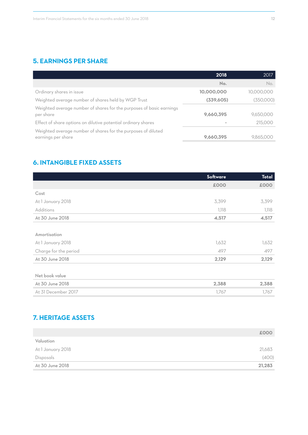# **5. EARNINGS PER SHARE**

|                                                                                     | 2018       | 2017       |
|-------------------------------------------------------------------------------------|------------|------------|
|                                                                                     | No.        | No.        |
| Ordinary shares in issue                                                            | 10,000,000 | 10,000,000 |
| Weighted average number of shares held by WGP Trust                                 | (339,605)  | (350,000)  |
| Weighted average number of shares for the purposes of basic earnings<br>per share   | 9,660,395  | 9,650,000  |
| Effect of share options on dilutive potential ordinary shares                       |            | 215,000    |
| Weighted average number of shares for the purposes of diluted<br>earnings per share | 9,660,395  | 9,865,000  |

# **6. INTANGIBLE FIXED ASSETS**

|                       | <b>Software</b> | <b>Total</b> |
|-----------------------|-----------------|--------------|
|                       | £000            | £000         |
| Cost                  |                 |              |
| At 1 January 2018     | 3,399           | 3,399        |
| Additions             | 1,118           | 1,118        |
| At 30 June 2018       | 4,517           | 4,517        |
|                       |                 |              |
| Amortisation          |                 |              |
| At 1 January 2018     | 1,632           | 1,632        |
| Charge for the period | 497             | 497          |
| At 30 June 2018       | 2,129           | 2,129        |
|                       |                 |              |
| Net book value        |                 |              |
| At 30 June 2018       | 2,388           | 2,388        |
| At 31 December 2017   | 1,767           | 1,767        |

# **7. HERITAGE ASSETS**

|                   | £000   |
|-------------------|--------|
| Valuation         |        |
| At 1 January 2018 | 21,683 |
| Disposals         | (400)  |
| At 30 June 2018   | 21,283 |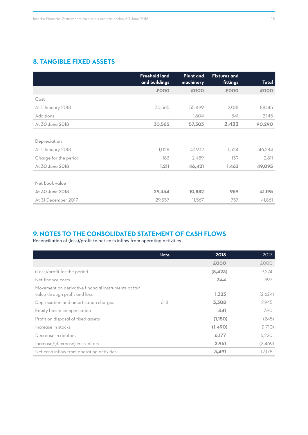# **8. TANGIBLE FIXED ASSETS**

|                       | <b>Freehold land</b><br>and buildings | <b>Plant and</b><br>machinery | <b>Fixtures and</b><br>fittings | Total  |
|-----------------------|---------------------------------------|-------------------------------|---------------------------------|--------|
|                       | £000                                  | £000                          | £000                            | £000   |
| Cost                  |                                       |                               |                                 |        |
| At 1 January 2018     | 30,565                                | 55,499                        | 2,081                           | 88,145 |
| <b>Additions</b>      |                                       | 1,804                         | 341                             | 2,145  |
| At 30 June 2018       | 30,565                                | 57,303                        | 2,422                           | 90,290 |
|                       |                                       |                               |                                 |        |
| Depreciation          |                                       |                               |                                 |        |
| At 1 January 2018     | 1,028                                 | 43,932                        | 1,324                           | 46,284 |
| Charge for the period | 183                                   | 2,489                         | 139                             | 2,811  |
| At 30 June 2018       | 1,211                                 | 46,421                        | 1,463                           | 49,095 |
|                       |                                       |                               |                                 |        |
| Net book value        |                                       |                               |                                 |        |
| At 30 June 2018       | 29,354                                | 10,882                        | 959                             | 41,195 |
| At 31 December 2017   | 29,537                                | 11,567                        | 757                             | 41,861 |

# **9. NOTES TO THE CONSOLIDATED STATEMENT OF CASH FLOWS**

Reconciliation of (loss)/profit to net cash inflow from operating activities

|                                                                                       | <b>Note</b> | 2018     | 2017    |
|---------------------------------------------------------------------------------------|-------------|----------|---------|
|                                                                                       |             | £000     | £000    |
| (Loss)/profit for the period                                                          |             | (8, 423) | 9,274   |
| Net finance costs                                                                     |             | 344      | 397     |
| Movement on derivative financial instruments at fair<br>value through profit and loss |             | 1,323    | (2,624) |
| Depreciation and amortisation charges                                                 | 6, 8        | 3,308    | 2,945   |
| Equity based compensation                                                             |             | 441      | 390     |
| Profit on disposal of fixed assets                                                    |             | (1,150)  | (245)   |
| Increase in stocks                                                                    |             | (1,490)  | (1,710) |
| Decrease in debtors                                                                   |             | 6,177    | 6,220   |
| Increase/(decrease) in creditors                                                      |             | 2,961    | (2,469) |
| Net cash inflow from operating activities                                             |             | 3,491    | 12.178  |